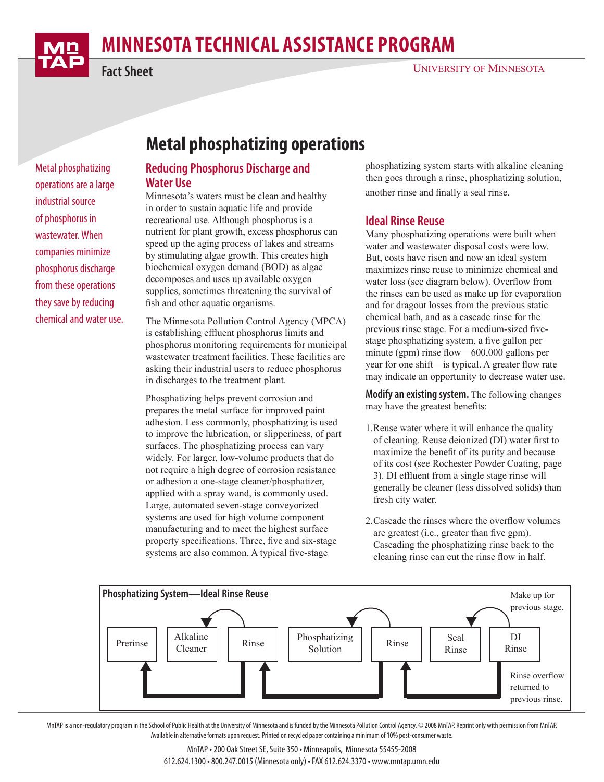

# **MINNESOTA TECHNICAL ASSISTANCE PROGRAM**

**Fact Sheet**

#### UNIVERSITY OF MINNESOTA

**Metal phosphatizing operations**

#### **Reducing Phosphorus Discharge and Water Use**

Minnesota's waters must be clean and healthy in order to sustain aquatic life and provide recreational use. Although phosphorus is a nutrient for plant growth, excess phosphorus can speed up the aging process of lakes and streams by stimulating algae growth. This creates high biochemical oxygen demand (BOD) as algae decomposes and uses up available oxygen supplies, sometimes threatening the survival of fish and other aquatic organisms.

The Minnesota Pollution Control Agency (MPCA) is establishing effluent phosphorus limits and phosphorus monitoring requirements for municipal wastewater treatment facilities. These facilities are asking their industrial users to reduce phosphorus in discharges to the treatment plant.

Phosphatizing helps prevent corrosion and prepares the metal surface for improved paint adhesion. Less commonly, phosphatizing is used to improve the lubrication, or slipperiness, of part surfaces. The phosphatizing process can vary widely. For larger, low-volume products that do not require a high degree of corrosion resistance or adhesion a one-stage cleaner/phosphatizer, applied with a spray wand, is commonly used. Large, automated seven-stage conveyorized systems are used for high volume component manufacturing and to meet the highest surface property specifications. Three, five and six-stage systems are also common. A typical five-stage

phosphatizing system starts with alkaline cleaning then goes through a rinse, phosphatizing solution, another rinse and finally a seal rinse.

#### **Ideal Rinse Reuse**

Many phosphatizing operations were built when water and wastewater disposal costs were low. But, costs have risen and now an ideal system maximizes rinse reuse to minimize chemical and water loss (see diagram below). Overflow from the rinses can be used as make up for evaporation and for dragout losses from the previous static chemical bath, and as a cascade rinse for the previous rinse stage. For a medium-sized fivestage phosphatizing system, a five gallon per minute (gpm) rinse flow—600,000 gallons per year for one shift—is typical. A greater flow rate may indicate an opportunity to decrease water use.

**Modify an existing system.** The following changes may have the greatest benefits:

- 1.Reuse water where it will enhance the quality of cleaning. Reuse deionized (DI) water first to maximize the benefit of its purity and because of its cost (see Rochester Powder Coating, page 3). DI effluent from a single stage rinse will generally be cleaner (less dissolved solids) than fresh city water.
- 2.Cascade the rinses where the overflow volumes are greatest (i.e., greater than five gpm). Cascading the phosphatizing rinse back to the cleaning rinse can cut the rinse flow in half.



MnTAP is a non-regulatory program in the School of Public Health at the University of Minnesota and is funded by the Minnesota Pollution Control Agency. © 2008 MnTAP. Reprint only with permission from MnTAP. Available in alternative formats upon request. Printed on recycled paper containing a minimum of 10% post-consumer waste.

#### MnTAP • 200 Oak Street SE, Suite 350 • Minneapolis, Minnesota 55455-2008 612.624.1300 • 800.247.0015 (Minnesota only) • FAX 612.624.3370 • www.mntap.umn.edu

Metal phosphatizing operations are a large industrial source of phosphorus in wastewater. When companies minimize phosphorus discharge from these operations they save by reducing chemical and water use.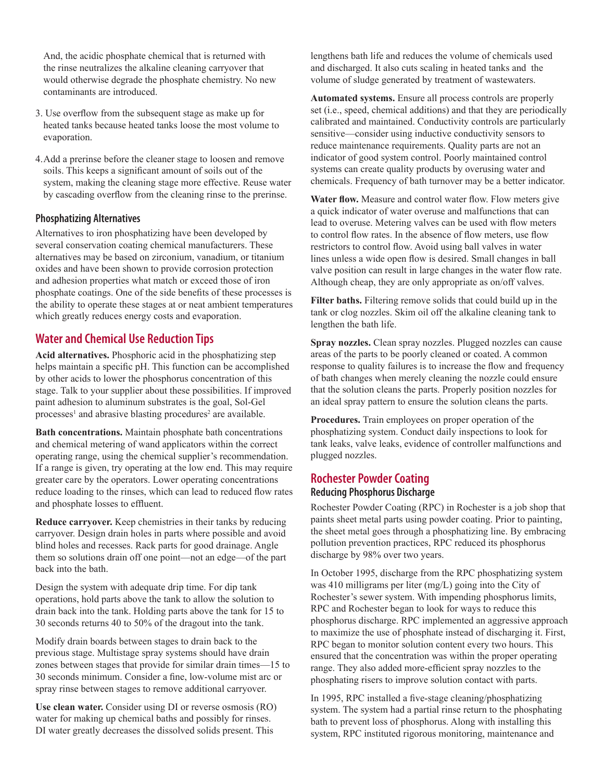And, the acidic phosphate chemical that is returned with the rinse neutralizes the alkaline cleaning carryover that would otherwise degrade the phosphate chemistry. No new contaminants are introduced.

- 3. Use overflow from the subsequent stage as make up for heated tanks because heated tanks loose the most volume to evaporation.
- 4.Add a prerinse before the cleaner stage to loosen and remove soils. This keeps a significant amount of soils out of the system, making the cleaning stage more effective. Reuse water by cascading overflow from the cleaning rinse to the prerinse.

#### **Phosphatizing Alternatives**

Alternatives to iron phosphatizing have been developed by several conservation coating chemical manufacturers. These alternatives may be based on zirconium, vanadium, or titanium oxides and have been shown to provide corrosion protection and adhesion properties what match or exceed those of iron phosphate coatings. One of the side benefits of these processes is the ability to operate these stages at or neat ambient temperatures which greatly reduces energy costs and evaporation.

## **Water and Chemical Use Reduction Tips**

**Acid alternatives.** Phosphoric acid in the phosphatizing step helps maintain a specific pH. This function can be accomplished by other acids to lower the phosphorus concentration of this stage. Talk to your supplier about these possibilities. If improved paint adhesion to aluminum substrates is the goal, Sol-Gel processes<sup>1</sup> and abrasive blasting procedures<sup>2</sup> are available.

**Bath concentrations.** Maintain phosphate bath concentrations and chemical metering of wand applicators within the correct operating range, using the chemical supplier's recommendation. If a range is given, try operating at the low end. This may require greater care by the operators. Lower operating concentrations reduce loading to the rinses, which can lead to reduced flow rates and phosphate losses to effluent.

**Reduce carryover.** Keep chemistries in their tanks by reducing carryover. Design drain holes in parts where possible and avoid blind holes and recesses. Rack parts for good drainage. Angle them so solutions drain off one point—not an edge—of the part back into the bath.

Design the system with adequate drip time. For dip tank operations, hold parts above the tank to allow the solution to drain back into the tank. Holding parts above the tank for 15 to 30 seconds returns 40 to 50% of the dragout into the tank.

Modify drain boards between stages to drain back to the previous stage. Multistage spray systems should have drain zones between stages that provide for similar drain times—15 to 30 seconds minimum. Consider a fine, low-volume mist arc or spray rinse between stages to remove additional carryover.

**Use clean water.** Consider using DI or reverse osmosis (RO) water for making up chemical baths and possibly for rinses. DI water greatly decreases the dissolved solids present. This

lengthens bath life and reduces the volume of chemicals used and discharged. It also cuts scaling in heated tanks and the volume of sludge generated by treatment of wastewaters.

**Automated systems.** Ensure all process controls are properly set (i.e., speed, chemical additions) and that they are periodically calibrated and maintained. Conductivity controls are particularly sensitive—consider using inductive conductivity sensors to reduce maintenance requirements. Quality parts are not an indicator of good system control. Poorly maintained control systems can create quality products by overusing water and chemicals. Frequency of bath turnover may be a better indicator.

**Water flow.** Measure and control water flow. Flow meters give a quick indicator of water overuse and malfunctions that can lead to overuse. Metering valves can be used with flow meters to control flow rates. In the absence of flow meters, use flow restrictors to control flow. Avoid using ball valves in water lines unless a wide open flow is desired. Small changes in ball valve position can result in large changes in the water flow rate. Although cheap, they are only appropriate as on/off valves.

**Filter baths.** Filtering remove solids that could build up in the tank or clog nozzles. Skim oil off the alkaline cleaning tank to lengthen the bath life.

**Spray nozzles.** Clean spray nozzles. Plugged nozzles can cause areas of the parts to be poorly cleaned or coated. A common response to quality failures is to increase the flow and frequency of bath changes when merely cleaning the nozzle could ensure that the solution cleans the parts. Properly position nozzles for an ideal spray pattern to ensure the solution cleans the parts.

**Procedures.** Train employees on proper operation of the phosphatizing system. Conduct daily inspections to look for tank leaks, valve leaks, evidence of controller malfunctions and plugged nozzles.

## **Rochester Powder Coating Reducing Phosphorus Discharge**

Rochester Powder Coating (RPC) in Rochester is a job shop that paints sheet metal parts using powder coating. Prior to painting, the sheet metal goes through a phosphatizing line. By embracing pollution prevention practices, RPC reduced its phosphorus discharge by 98% over two years.

In October 1995, discharge from the RPC phosphatizing system was 410 milligrams per liter (mg/L) going into the City of Rochester's sewer system. With impending phosphorus limits, RPC and Rochester began to look for ways to reduce this phosphorus discharge. RPC implemented an aggressive approach to maximize the use of phosphate instead of discharging it. First, RPC began to monitor solution content every two hours. This ensured that the concentration was within the proper operating range. They also added more-efficient spray nozzles to the phosphating risers to improve solution contact with parts.

In 1995, RPC installed a five-stage cleaning/phosphatizing system. The system had a partial rinse return to the phosphating bath to prevent loss of phosphorus. Along with installing this system, RPC instituted rigorous monitoring, maintenance and